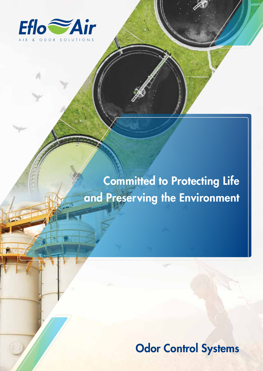

# Committed to Protecting Life and Preserving the Environment

**Odor Control Systems**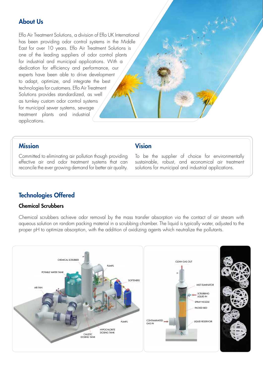# About Us

Eflo Air Treatment Solutions, a division of Eflo UK International has been providing odor control systems in the Middle East for over 10 years. Eflo Air Treatment Solutions is one of the leading suppliers of odor control plants for industrial and municipal applications. With a dedication for efficiency and performance, our experts have been able to drive development to adapt, optimize, and integrate the best technologies for customers. Eflo Air Treatment Solutions provides standardized, as well as turnkey custom odor control systems for municipal sewer systems, sewage treatment plants and industrial applications.

## Mission

Committed to eliminating air pollution though providing effective air and odor treatment systems that can reconcile the ever growing demand for better air quality.

## Vision

To be the supplier of choice for environmentally sustainable, robust, and economical air treatment solutions for municipal and industrial applications.

# Technologies Offered

#### Chemical Scrubbers

Chemical scrubbers achieve odor removal by the mass transfer absorption via the contact of air stream with aqueous solution on random packing material in a scrubbing chamber. The liquid is typically water, adjusted to the proper pH to optimize absorption, with the addition of oxidizing agents which neutralize the pollutants.

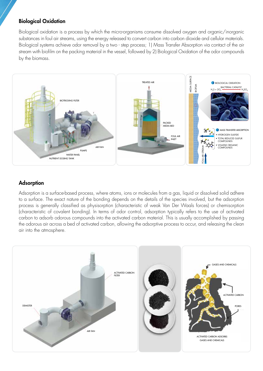#### Biological Oxidation

Biological oxidation is a process by which the micro-organisms consume dissolved oxygen and organic/inorganic substances in foul air streams, using the energy released to convert carbon into carbon dioxide and cellular materials. Biological systems achieve odor removal by a two - step process; 1) Mass Transfer Absorption via contact of the air stream with biofilm on the packing material in the vessel, followed by 2) Biological Oxidation of the odor compounds by the biomass.



## Adsorption

Adsorption is a surface-based process, where atoms, ions or molecules from a gas, liquid or dissolved solid adhere to a surface. The exact nature of the bonding depends on the details of the species involved, but the adsorption process is generally classified as physisorption (characteristic of weak Van Der Waals forces) or chemisorption (characteristic of covalent bonding). In terms of odor control, adsorption typically refers to the use of activated carbon to adsorb odorous compounds into the activated carbon material. This is usually accomplished by passing the odorous air across a bed of activated carbon, allowing the adsorptive process to occur, and releasing the clean air into the atmosphere.